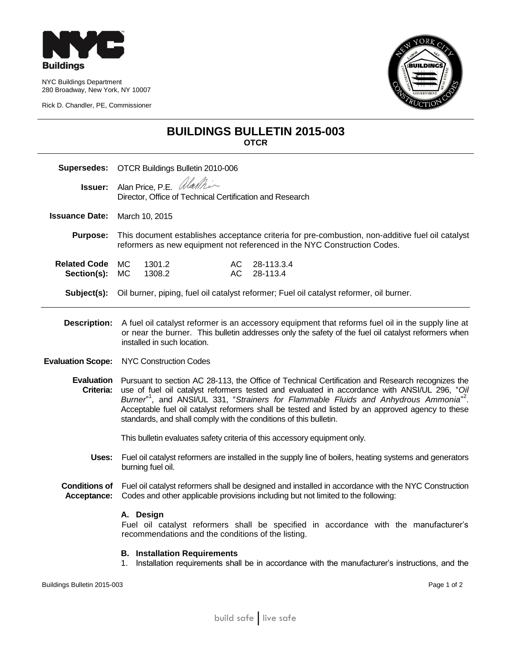

NYC Buildings Department 280 Broadway, New York, NY 10007

Rick D. Chandler, PE, Commissioner



## **BUILDINGS BULLETIN 2015-003 OTCR**

| Supersedes:                         | OTCR Buildings Bulletin 2010-006                                                                                                                                                                                                                                                                                                                                                                                                                                                                      |
|-------------------------------------|-------------------------------------------------------------------------------------------------------------------------------------------------------------------------------------------------------------------------------------------------------------------------------------------------------------------------------------------------------------------------------------------------------------------------------------------------------------------------------------------------------|
| Issuer:                             | Alan Price, P.E. <i>Warthin</i><br>Director, Office of Technical Certification and Research                                                                                                                                                                                                                                                                                                                                                                                                           |
| <b>Issuance Date:</b>               | March 10, 2015                                                                                                                                                                                                                                                                                                                                                                                                                                                                                        |
| <b>Purpose:</b>                     | This document establishes acceptance criteria for pre-combustion, non-additive fuel oil catalyst<br>reformers as new equipment not referenced in the NYC Construction Codes.                                                                                                                                                                                                                                                                                                                          |
| <b>Related Code</b><br>Section(s):  | <b>MC</b><br>1301.2<br>AC.<br>28-113.3.4<br><b>MC</b><br>1308.2<br><b>AC</b><br>28-113.4                                                                                                                                                                                                                                                                                                                                                                                                              |
| Subject(s):                         | Oil burner, piping, fuel oil catalyst reformer; Fuel oil catalyst reformer, oil burner.                                                                                                                                                                                                                                                                                                                                                                                                               |
| <b>Description:</b>                 | A fuel oil catalyst reformer is an accessory equipment that reforms fuel oil in the supply line at<br>or near the burner. This bulletin addresses only the safety of the fuel oil catalyst reformers when<br>installed in such location.                                                                                                                                                                                                                                                              |
| <b>Evaluation Scope:</b>            | <b>NYC Construction Codes</b>                                                                                                                                                                                                                                                                                                                                                                                                                                                                         |
| Criteria:                           | Evaluation Pursuant to section AC 28-113, the Office of Technical Certification and Research recognizes the<br>use of fuel oil catalyst reformers tested and evaluated in accordance with ANSI/UL 296, "Oil<br>Burner <sup>"1</sup> , and ANSI/UL 331, "Strainers for Flammable Fluids and Anhydrous Ammonia <sup>"2</sup> .<br>Acceptable fuel oil catalyst reformers shall be tested and listed by an approved agency to these<br>standards, and shall comply with the conditions of this bulletin. |
|                                     | This bulletin evaluates safety criteria of this accessory equipment only.                                                                                                                                                                                                                                                                                                                                                                                                                             |
| Uses:                               | Fuel oil catalyst reformers are installed in the supply line of boilers, heating systems and generators<br>burning fuel oil.                                                                                                                                                                                                                                                                                                                                                                          |
| <b>Conditions of</b><br>Acceptance: | Fuel oil catalyst reformers shall be designed and installed in accordance with the NYC Construction<br>Codes and other applicable provisions including but not limited to the following:                                                                                                                                                                                                                                                                                                              |
|                                     | A. Design<br>Fuel oil catalyst reformers shall be specified in accordance with the manufacturer's<br>recommendations and the conditions of the listing.                                                                                                                                                                                                                                                                                                                                               |
|                                     | <b>B.</b> Installation Requirements<br>Installation requirements shall be in accordance with the manufacturer's instructions, and the<br>1.                                                                                                                                                                                                                                                                                                                                                           |

Buildings Bulletin 2015-003 Page 1 of 2